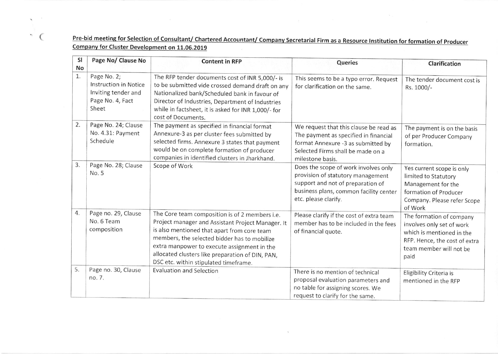Pre-bid meeting for Selection of Consultant/ Chartered Accountant/ Company Secretarial Firm as a Resource Institution for formation of Producer Companv for Cluster Development on 11.06.2019

 $\ddot{\phantom{1}}$ 

 $\sim$  $\mathbf{u}_\mathrm{p}$ 

| SI<br>No | Page No/ Clause No                                                                       | <b>Content in RFP</b>                                                                                                                                                                                                                                                                                                                          | Queries                                                                                                                                                                          | Clarification                                                                                                                                          |
|----------|------------------------------------------------------------------------------------------|------------------------------------------------------------------------------------------------------------------------------------------------------------------------------------------------------------------------------------------------------------------------------------------------------------------------------------------------|----------------------------------------------------------------------------------------------------------------------------------------------------------------------------------|--------------------------------------------------------------------------------------------------------------------------------------------------------|
| 1.       | Page No. 2;<br>Instruction in Notice<br>Inviting tender and<br>Page No. 4, Fact<br>Sheet | The RFP tender documents cost of INR 5,000/- is<br>to be submitted vide crossed demand draft on any<br>Nationalized bank/Scheduled bank in favour of<br>Director of Industries, Department of Industries<br>while in factsheet, it is asked for INR 1,000/- for<br>cost of Documents.                                                          | This seems to be a typo error. Request<br>for clarification on the same.                                                                                                         | The tender document cost is<br>Rs. 1000/-                                                                                                              |
| 2.       | Page No. 24; Clause<br>No. 4.31: Payment<br>Schedule                                     | The payment as specified in financial format<br>Annexure-3 as per cluster fees submitted by<br>selected firms. Annexure 3 states that payment<br>would be on complete formation of producer<br>companies in identified clusters in Jharkhand.                                                                                                  | We request that this clause be read as<br>The payment as specified in financial<br>format Annexure -3 as submitted by<br>Selected Firms shall be made on a<br>milestone basis.   | The payment is on the basis<br>of per Producer Company<br>formation.                                                                                   |
| 3.       | Page No. 28; Clause<br>No. 5                                                             | Scope of Work                                                                                                                                                                                                                                                                                                                                  | Does the scope of work involves only<br>provision of statutory management<br>support and not of preparation of<br>business plans, common facility center<br>etc. please clarify. | Yes current scope is only<br>limited to Statutory<br>Management for the<br>formation of Producer<br>Company. Please refer Scope<br>of Work             |
| 4.       | Page no. 29, Clause<br>No. 6 Team<br>composition                                         | The Core team composition is of 2 members i.e.<br>Project manager and Assistant Project Manager. It<br>is also mentioned that apart from core team<br>members, the selected bidder has to mobilize<br>extra manpower to execute assignment in the<br>allocated clusters like preparation of DIN, PAN,<br>DSC etc. within stipulated timeframe. | Please clarify if the cost of extra team<br>member has to be included in the fees<br>of financial quote.                                                                         | The formation of company<br>involves only set of work<br>which is mentioned in the<br>RFP. Hence, the cost of extra<br>team member will not be<br>paid |
| 5.       | Page no. 30, Clause<br>no. 7.                                                            | <b>Evaluation and Selection</b>                                                                                                                                                                                                                                                                                                                | There is no mention of technical<br>proposal evaluation parameters and<br>no table for assigning scores. We<br>request to clarify for the same.                                  | Eligibility Criteria is<br>mentioned in the RFP                                                                                                        |